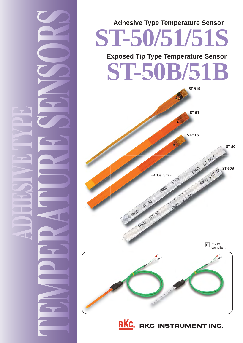

# **ST-50/51/51S Adhesive Type Temperature Sensor Exposed Tip Type Temperature Sensor**





RKC. RKC INSTRUMENT INC.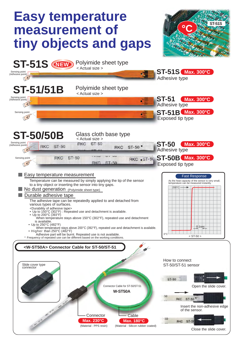## **Easy temperature measurement of tiny objects and gaps**



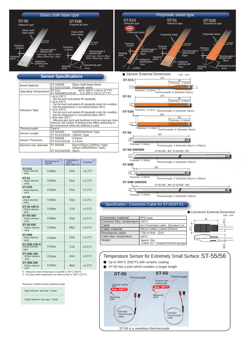

#### **Sensor Specifications**

| <b>Sheet Material</b>   | ST-50/50B: Glass cloth base sheet<br>ST-51/51S/51B: Polyimide sheet                                                                                                                                                                                                                                                                                                                                                                                                                                                                                                                                          |
|-------------------------|--------------------------------------------------------------------------------------------------------------------------------------------------------------------------------------------------------------------------------------------------------------------------------------------------------------------------------------------------------------------------------------------------------------------------------------------------------------------------------------------------------------------------------------------------------------------------------------------------------------|
| Operating Temperature   | -40 to 300°C (-40 to 577°F)<br>$ST-51S$ :<br>ST-50/50B/51S/51B: 0 to 300°C (32 to 577°F)                                                                                                                                                                                                                                                                                                                                                                                                                                                                                                                     |
| Adhesive Tape           | $\bullet$ Up to 150 $\degree$ C:<br>Can be stuck and peeled off repeatedly.<br>$\bullet$ Up to 200 $\degree$ C:<br>Can be stuck and peeled off repeatedly under the condition<br>that the temperature is not lowered below 150°C.<br>$\bullet$ Up to 250 $^{\circ}$ C:<br>Can be stuck and peeled off repeatedly under the condition<br>that the temperature is not lowered below 200°C.<br>$\bullet$ More than 250 $^{\circ}$ C:<br>Adhesive gets burnt and hardened not to be stuck any more.<br>However, the number of sticking times differs depending on<br>the environment where the adhesive is used. |
| Thermocouple            | Type K                                                                                                                                                                                                                                                                                                                                                                                                                                                                                                                                                                                                       |
| Sensor Length           | ST-50/50B: 100/300/500mm Type<br>ST-51/51S/51B: 100mm Type                                                                                                                                                                                                                                                                                                                                                                                                                                                                                                                                                   |
| <b>Sensor Thickness</b> | ST-50/50B :<br>$0.34$ mm<br>ST-51/51S/51B: 0.13mm                                                                                                                                                                                                                                                                                                                                                                                                                                                                                                                                                            |
| Element wire diameter   | ST-50/50B:<br>50μm/100μm (100mm Type)<br>100μm (300/500mm Type)<br>ST-51/51S/51B: 50um                                                                                                                                                                                                                                                                                                                                                                                                                                                                                                                       |

|                                         | *1<br>Response of<br>95.0% | Resistance<br>value<br>(With cable 1m) | *2<br>Accuracy   |
|-----------------------------------------|----------------------------|----------------------------------------|------------------|
| <b>ST-51S</b><br>(50µm element<br>wire) | $0.08$ sec                 | $51\Omega$                             | $±1.2$ °C        |
| <b>ST-51</b><br>(50um element<br>wire)  | $0.08$ sec                 | $51\Omega$                             | $±1.3$ °C        |
| <b>ST-51B</b><br>(50um element<br>wire) | $0.03$ sec                 | $51\Omega$                             | $±1.3$ °C        |
| <b>ST-50</b><br>(50µm element<br>wire)  | $0.08$ sec                 | $51\Omega$                             | $±1.3$ °C        |
| ST-50-100-D<br>(100um element<br>wire)  | $0.08$ sec                 | 17Q                                    | $±1.5^{\circ}$ C |
| ST-50-300<br>(100µm element<br>wire)    | $0.08$ sec                 | $41\Omega$                             | $±1.5^{\circ}$ C |
| ST-50-500<br>(100um element<br>wire)    | $0.08$ sec                 | $66\Omega$                             | $±1.5^{\circ}$ C |
| <b>ST-50B</b><br>(50um element<br>wire) | $0.03$ sec                 | $51\Omega$                             | $±1.3$ °C        |
| ST-50B-100-D<br>(100um element<br>wire) | $0.03$ sec                 | 17Q                                    | $±1.5^{\circ}$ C |
| ST-50B-300<br>(100um element<br>wire)   | $0.03$ sec                 | 41Q                                    | $±1.5^{\circ}$ C |
| ST-50B-500<br>(100um element            | $0.03$ sec                 | $66\Omega$                             | $±1.5^{\circ}$ C |

 wire)  $\mathbf{I}$ 

\*1 : Response when temperature of paraffin is 250°C (482°F).<br>\*2 : Accuracy when temperature on metal surface is 100°C (212°F).

Response of Metal Surface (Adhesive type)

50μm element wire type : 0.4sec

100μm element wire type : 0.9sec



ST-50-300 : 300, ST-50-500 : 500

Thermocouple: K (Diameter 100μm)

#### Specification : Connector Cable for ST-50/ST-51

 $4 +$  $5\overline{1}$ 

Thickness : 0.34mm

**ST-50B-300/500**

|                                  |                                                       | • Connector External Dimension<br>Unit: $mm$ |
|----------------------------------|-------------------------------------------------------|----------------------------------------------|
| Connector material               | PPS resin                                             | 35<br>o                                      |
| Connector Max. temperature 230°C |                                                       |                                              |
| Cable                            | ø3.3 Extended cable, Standard 1m                      |                                              |
| Cable material                   | Silicon rubber coated (Green)                         | 12                                           |
| Resistance value                 | 7.0 $\Omega$ or less (1m)                             |                                              |
| Cable Max. temperature           | $180^{\circ}$ C                                       |                                              |
| Weight                           | Approx 20g<br>(Cable 1m, Y-sharped terminal lug type) |                                              |
|                                  |                                                       | 10.6                                         |

### Temperature Sensor for Extremely Small Surface ST-55/56

- Up to 500°C (932°F) with ceramic coating
- ST-55 has a joint which enables a longer length